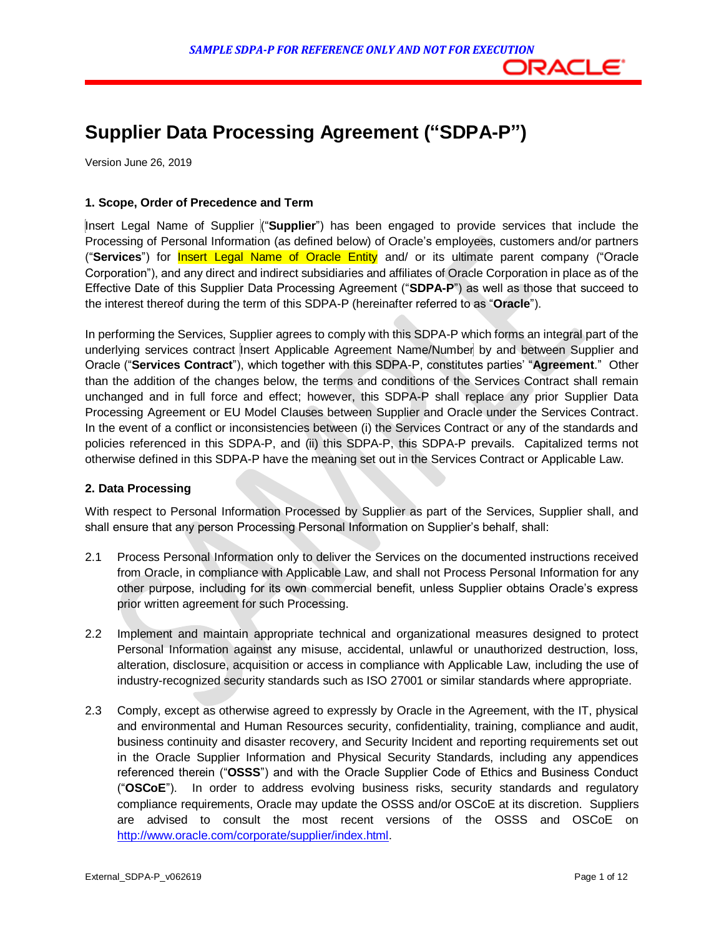# **Supplier Data Processing Agreement ("SDPA-P")**

Version June 26, 2019

### **1. Scope, Order of Precedence and Term**

 Insert Legal Name of Supplier ("**Supplier**") has been engaged to provide services that include the Processing of Personal Information (as defined below) of Oracle's employees, customers and/or partners ("**Services**") for Insert Legal Name of Oracle Entity and/ or its ultimate parent company ("Oracle Corporation"), and any direct and indirect subsidiaries and affiliates of Oracle Corporation in place as of the Effective Date of this Supplier Data Processing Agreement ("**SDPA-P**") as well as those that succeed to the interest thereof during the term of this SDPA-P (hereinafter referred to as "**Oracle**").

 In performing the Services, Supplier agrees to comply with this SDPA-P which forms an integral part of the underlying services contract Insert Applicable Agreement Name/Number by and between Supplier and Oracle ("**Services Contract**"), which together with this SDPA-P, constitutes parties' "**Agreement**." Other than the addition of the changes below, the terms and conditions of the Services Contract shall remain unchanged and in full force and effect; however, this SDPA-P shall replace any prior Supplier Data Processing Agreement or EU Model Clauses between Supplier and Oracle under the Services Contract. In the event of a conflict or inconsistencies between (i) the Services Contract or any of the standards and policies referenced in this SDPA-P, and (ii) this SDPA-P, this SDPA-P prevails. Capitalized terms not otherwise defined in this SDPA-P have the meaning set out in the Services Contract or Applicable Law.

#### **2. Data Processing**

 With respect to Personal Information Processed by Supplier as part of the Services, Supplier shall, and shall ensure that any person Processing Personal Information on Supplier's behalf, shall:

- 2.1 Process Personal Information only to deliver the Services on the documented instructions received from Oracle, in compliance with Applicable Law, and shall not Process Personal Information for any other purpose, including for its own commercial benefit, unless Supplier obtains Oracle's express prior written agreement for such Processing.
- 2.2 Implement and maintain appropriate technical and organizational measures designed to protect Personal Information against any misuse, accidental, unlawful or unauthorized destruction, loss, alteration, disclosure, acquisition or access in compliance with Applicable Law, including the use of industry-recognized security standards such as ISO 27001 or similar standards where appropriate.
- 2.3 Comply, except as otherwise agreed to expressly by Oracle in the Agreement, with the IT, physical and environmental and Human Resources security, confidentiality, training, compliance and audit, business continuity and disaster recovery, and Security Incident and reporting requirements set out in the Oracle Supplier Information and Physical Security Standards, including any appendices referenced therein ("**OSSS**") and with the Oracle Supplier Code of Ethics and Business Conduct ("**OSCoE**"). In order to address evolving business risks, security standards and regulatory compliance requirements, Oracle may update the OSSS and/or OSCoE at its discretion. Suppliers are advised to consult the most recent versions of the OSSS and OSCoE on [http://www.oracle.com/corporate/supplier/index.html.](http://www.oracle.com/corporate/supplier/index.html)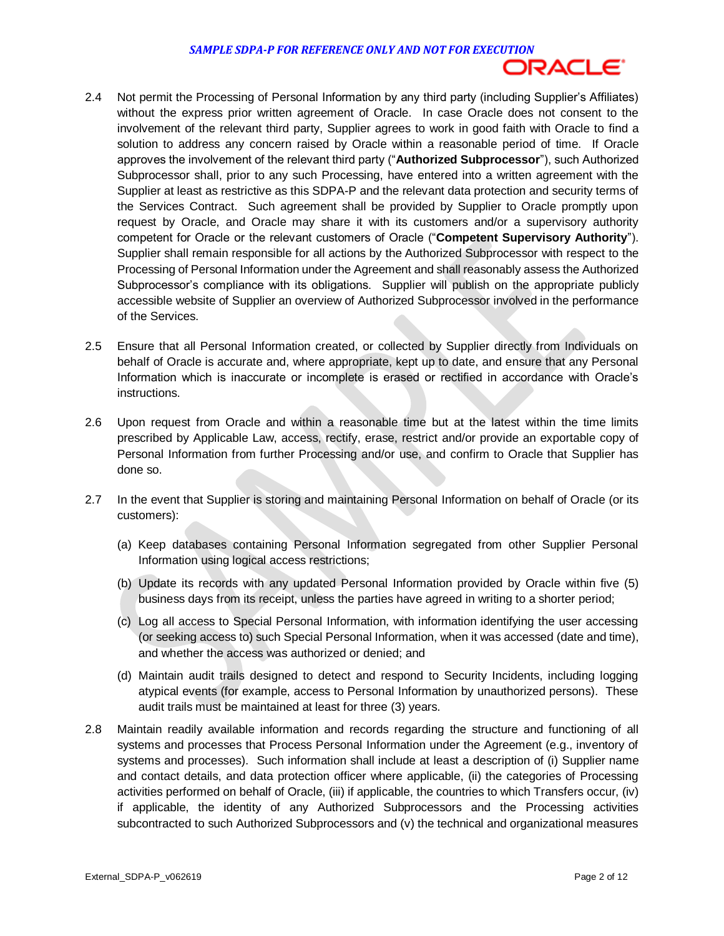

- 2.4 Not permit the Processing of Personal Information by any third party (including Supplier's Affiliates) without the express prior written agreement of Oracle. In case Oracle does not consent to the involvement of the relevant third party, Supplier agrees to work in good faith with Oracle to find a solution to address any concern raised by Oracle within a reasonable period of time. If Oracle approves the involvement of the relevant third party ("**Authorized Subprocessor**"), such Authorized Subprocessor shall, prior to any such Processing, have entered into a written agreement with the Supplier at least as restrictive as this SDPA-P and the relevant data protection and security terms of the Services Contract. Such agreement shall be provided by Supplier to Oracle promptly upon request by Oracle, and Oracle may share it with its customers and/or a supervisory authority competent for Oracle or the relevant customers of Oracle ("**Competent Supervisory Authority**"). Supplier shall remain responsible for all actions by the Authorized Subprocessor with respect to the Processing of Personal Information under the Agreement and shall reasonably assess the Authorized Subprocessor's compliance with its obligations. Supplier will publish on the appropriate publicly accessible website of Supplier an overview of Authorized Subprocessor involved in the performance of the Services.
- 2.5 Ensure that all Personal Information created, or collected by Supplier directly from Individuals on behalf of Oracle is accurate and, where appropriate, kept up to date, and ensure that any Personal Information which is inaccurate or incomplete is erased or rectified in accordance with Oracle's instructions.
- 2.6 Upon request from Oracle and within a reasonable time but at the latest within the time limits prescribed by Applicable Law, access, rectify, erase, restrict and/or provide an exportable copy of Personal Information from further Processing and/or use, and confirm to Oracle that Supplier has done so.
- 2.7 In the event that Supplier is storing and maintaining Personal Information on behalf of Oracle (or its customers):
	- (a) Keep databases containing Personal Information segregated from other Supplier Personal Information using logical access restrictions;
	- (b) Update its records with any updated Personal Information provided by Oracle within five (5) business days from its receipt, unless the parties have agreed in writing to a shorter period;
	- (c) Log all access to Special Personal Information, with information identifying the user accessing (or seeking access to) such Special Personal Information, when it was accessed (date and time), and whether the access was authorized or denied; and
	- (d) Maintain audit trails designed to detect and respond to Security Incidents, including logging atypical events (for example, access to Personal Information by unauthorized persons). These audit trails must be maintained at least for three (3) years.
- 2.8 Maintain readily available information and records regarding the structure and functioning of all systems and processes that Process Personal Information under the Agreement (e.g., inventory of systems and processes). Such information shall include at least a description of (i) Supplier name and contact details, and data protection officer where applicable, (ii) the categories of Processing activities performed on behalf of Oracle, (iii) if applicable, the countries to which Transfers occur, (iv) if applicable, the identity of any Authorized Subprocessors and the Processing activities subcontracted to such Authorized Subprocessors and (v) the technical and organizational measures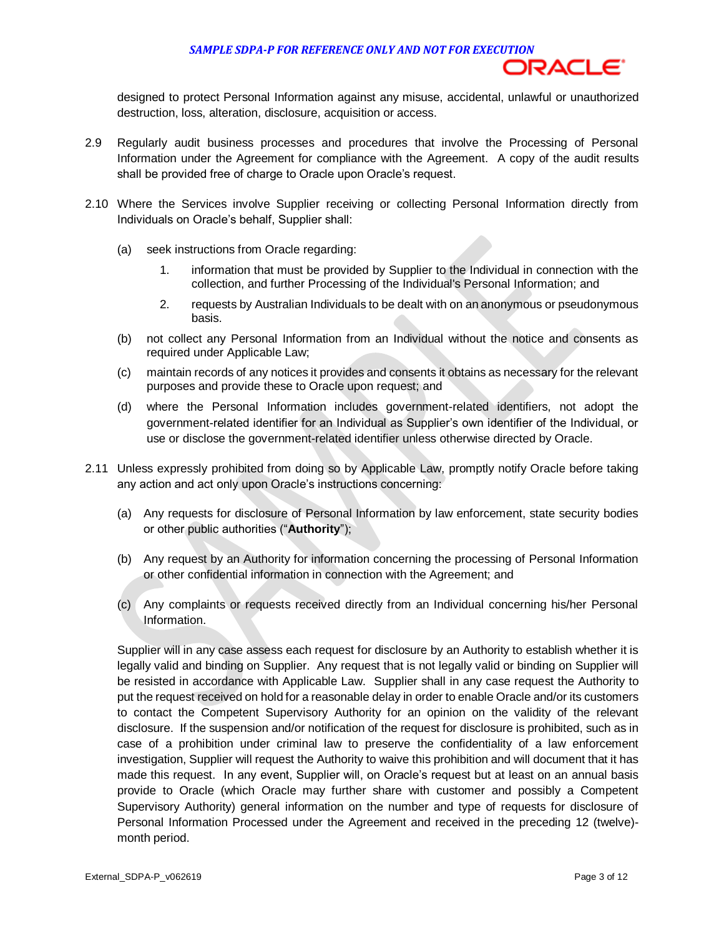#### *SAMPLE SDPA-P FOR REFERENCE ONLY AND NOT FOR EXECUTION*



 designed to protect Personal Information against any misuse, accidental, unlawful or unauthorized destruction, loss, alteration, disclosure, acquisition or access.

- 2.9 Regularly audit business processes and procedures that involve the Processing of Personal Information under the Agreement for compliance with the Agreement. A copy of the audit results shall be provided free of charge to Oracle upon Oracle's request.
- 2.10 Where the Services involve Supplier receiving or collecting Personal Information directly from Individuals on Oracle's behalf, Supplier shall:
	- (a) seek instructions from Oracle regarding:
		- 1. information that must be provided by Supplier to the Individual in connection with the collection, and further Processing of the Individual's Personal Information; and
		- 2. requests by Australian Individuals to be dealt with on an anonymous or pseudonymous basis.
	- (b) not collect any Personal Information from an Individual without the notice and consents as required under Applicable Law;
	- (c) maintain records of any notices it provides and consents it obtains as necessary for the relevant purposes and provide these to Oracle upon request; and
	- (d) where the Personal Information includes government-related identifiers, not adopt the government-related identifier for an Individual as Supplier's own identifier of the Individual, or use or disclose the government-related identifier unless otherwise directed by Oracle.
- 2.11 Unless expressly prohibited from doing so by Applicable Law, promptly notify Oracle before taking any action and act only upon Oracle's instructions concerning:
	- (a) Any requests for disclosure of Personal Information by law enforcement, state security bodies or other public authorities ("**Authority**");
	- (b) Any request by an Authority for information concerning the processing of Personal Information or other confidential information in connection with the Agreement; and
	- (c) Any complaints or requests received directly from an Individual concerning his/her Personal Information.

 Supplier will in any case assess each request for disclosure by an Authority to establish whether it is legally valid and binding on Supplier. Any request that is not legally valid or binding on Supplier will be resisted in accordance with Applicable Law. Supplier shall in any case request the Authority to put the request received on hold for a reasonable delay in order to enable Oracle and/or its customers to contact the Competent Supervisory Authority for an opinion on the validity of the relevant disclosure. If the suspension and/or notification of the request for disclosure is prohibited, such as in case of a prohibition under criminal law to preserve the confidentiality of a law enforcement investigation, Supplier will request the Authority to waive this prohibition and will document that it has made this request. In any event, Supplier will, on Oracle's request but at least on an annual basis provide to Oracle (which Oracle may further share with customer and possibly a Competent Supervisory Authority) general information on the number and type of requests for disclosure of Personal Information Processed under the Agreement and received in the preceding 12 (twelve) month period.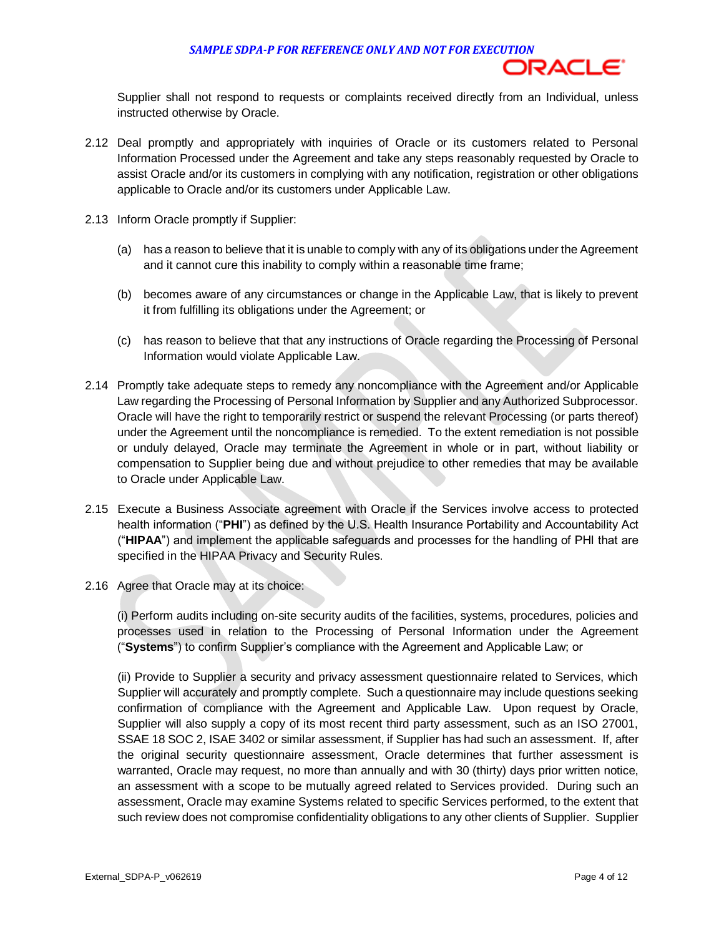#### *SAMPLE SDPA-P FOR REFERENCE ONLY AND NOT FOR EXECUTION*



 Supplier shall not respond to requests or complaints received directly from an Individual, unless instructed otherwise by Oracle.

- 2.12 Deal promptly and appropriately with inquiries of Oracle or its customers related to Personal Information Processed under the Agreement and take any steps reasonably requested by Oracle to assist Oracle and/or its customers in complying with any notification, registration or other obligations applicable to Oracle and/or its customers under Applicable Law.
- 2.13 Inform Oracle promptly if Supplier:
	- (a) has a reason to believe that it is unable to comply with any of its obligations under the Agreement and it cannot cure this inability to comply within a reasonable time frame;
	- (b) becomes aware of any circumstances or change in the Applicable Law, that is likely to prevent it from fulfilling its obligations under the Agreement; or
	- (c) has reason to believe that that any instructions of Oracle regarding the Processing of Personal Information would violate Applicable Law.
- 2.14 Promptly take adequate steps to remedy any noncompliance with the Agreement and/or Applicable Law regarding the Processing of Personal Information by Supplier and any Authorized Subprocessor. Oracle will have the right to temporarily restrict or suspend the relevant Processing (or parts thereof) under the Agreement until the noncompliance is remedied. To the extent remediation is not possible or unduly delayed, Oracle may terminate the Agreement in whole or in part, without liability or compensation to Supplier being due and without prejudice to other remedies that may be available to Oracle under Applicable Law.
- 2.15 Execute a Business Associate agreement with Oracle if the Services involve access to protected health information ("**PHI**") as defined by the U.S. Health Insurance Portability and Accountability Act ("**HIPAA**") and implement the applicable safeguards and processes for the handling of PHI that are specified in the HIPAA Privacy and Security Rules.
- 2.16 Agree that Oracle may at its choice:

 (i) Perform audits including on-site security audits of the facilities, systems, procedures, policies and processes used in relation to the Processing of Personal Information under the Agreement ("**Systems**") to confirm Supplier's compliance with the Agreement and Applicable Law; or

 (ii) Provide to Supplier a security and privacy assessment questionnaire related to Services, which Supplier will accurately and promptly complete. Such a questionnaire may include questions seeking confirmation of compliance with the Agreement and Applicable Law. Upon request by Oracle, Supplier will also supply a copy of its most recent third party assessment, such as an ISO 27001, SSAE 18 SOC 2, ISAE 3402 or similar assessment, if Supplier has had such an assessment. If, after the original security questionnaire assessment, Oracle determines that further assessment is warranted, Oracle may request, no more than annually and with 30 (thirty) days prior written notice, an assessment with a scope to be mutually agreed related to Services provided. During such an assessment, Oracle may examine Systems related to specific Services performed, to the extent that such review does not compromise confidentiality obligations to any other clients of Supplier. Supplier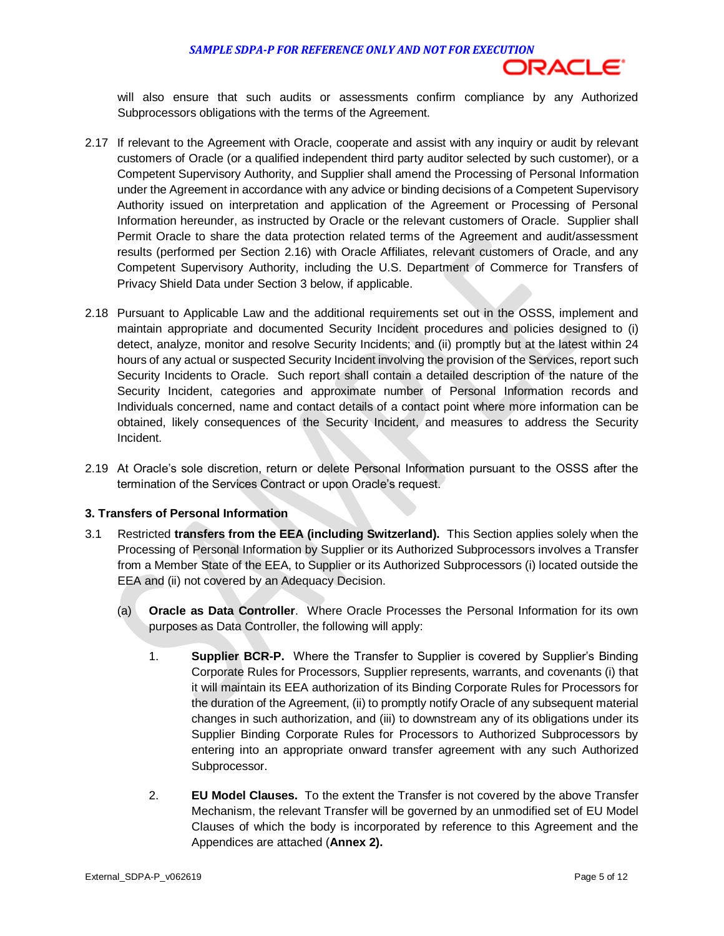

 will also ensure that such audits or assessments confirm compliance by any Authorized Subprocessors obligations with the terms of the Agreement.

- 2.17 If relevant to the Agreement with Oracle, cooperate and assist with any inquiry or audit by relevant customers of Oracle (or a qualified independent third party auditor selected by such customer), or a Competent Supervisory Authority, and Supplier shall amend the Processing of Personal Information under the Agreement in accordance with any advice or binding decisions of a Competent Supervisory Authority issued on interpretation and application of the Agreement or Processing of Personal Information hereunder, as instructed by Oracle or the relevant customers of Oracle. Supplier shall Permit Oracle to share the data protection related terms of the Agreement and audit/assessment results (performed per Section 2.16) with Oracle Affiliates, relevant customers of Oracle, and any Competent Supervisory Authority, including the U.S. Department of Commerce for Transfers of Privacy Shield Data under Section 3 below, if applicable.
- 2.18 Pursuant to Applicable Law and the additional requirements set out in the OSSS, implement and maintain appropriate and documented Security Incident procedures and policies designed to (i) detect, analyze, monitor and resolve Security Incidents; and (ii) promptly but at the latest within 24 hours of any actual or suspected Security Incident involving the provision of the Services, report such Security Incidents to Oracle. Such report shall contain a detailed description of the nature of the Security Incident, categories and approximate number of Personal Information records and Individuals concerned, name and contact details of a contact point where more information can be obtained, likely consequences of the Security Incident, and measures to address the Security Incident.
- 2.19 At Oracle's sole discretion, return or delete Personal Information pursuant to the OSSS after the termination of the Services Contract or upon Oracle's request.

#### **3. Transfers of Personal Information**

- 3.1 Restricted **transfers from the EEA (including Switzerland).** This Section applies solely when the Processing of Personal Information by Supplier or its Authorized Subprocessors involves a Transfer from a Member State of the EEA, to Supplier or its Authorized Subprocessors (i) located outside the EEA and (ii) not covered by an Adequacy Decision.
	- (a) **Oracle as Data Controller**. Where Oracle Processes the Personal Information for its own purposes as Data Controller, the following will apply:
		- 1. **Supplier BCR-P.** Where the Transfer to Supplier is covered by Supplier's Binding Corporate Rules for Processors, Supplier represents, warrants, and covenants (i) that it will maintain its EEA authorization of its Binding Corporate Rules for Processors for the duration of the Agreement, (ii) to promptly notify Oracle of any subsequent material changes in such authorization, and (iii) to downstream any of its obligations under its Supplier Binding Corporate Rules for Processors to Authorized Subprocessors by entering into an appropriate onward transfer agreement with any such Authorized Subprocessor.
		- 2. **EU Model Clauses.** To the extent the Transfer is not covered by the above Transfer Mechanism, the relevant Transfer will be governed by an unmodified set of EU Model Clauses of which the body is incorporated by reference to this Agreement and the Appendices are attached (**Annex 2).**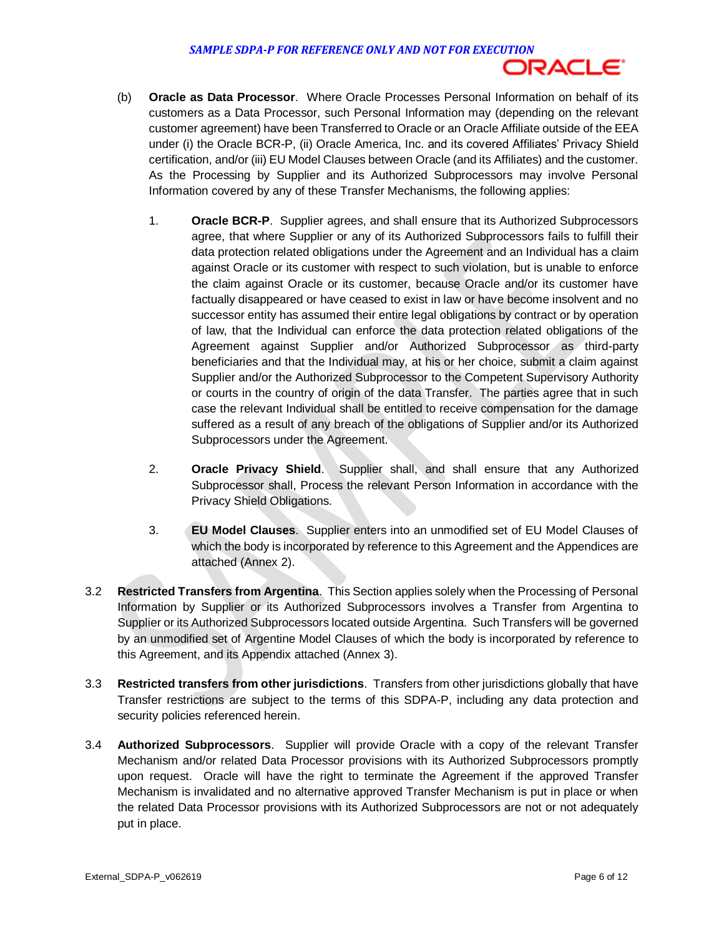

- (b) **Oracle as Data Processor**. Where Oracle Processes Personal Information on behalf of its customers as a Data Processor, such Personal Information may (depending on the relevant customer agreement) have been Transferred to Oracle or an Oracle Affiliate outside of the EEA under (i) the Oracle BCR-P, (ii) Oracle America, Inc. and its covered Affiliates' Privacy Shield certification, and/or (iii) EU Model Clauses between Oracle (and its Affiliates) and the customer. As the Processing by Supplier and its Authorized Subprocessors may involve Personal Information covered by any of these Transfer Mechanisms, the following applies:
	- 1. **Oracle BCR-P**. Supplier agrees, and shall ensure that its Authorized Subprocessors agree, that where Supplier or any of its Authorized Subprocessors fails to fulfill their data protection related obligations under the Agreement and an Individual has a claim against Oracle or its customer with respect to such violation, but is unable to enforce the claim against Oracle or its customer, because Oracle and/or its customer have factually disappeared or have ceased to exist in law or have become insolvent and no successor entity has assumed their entire legal obligations by contract or by operation of law, that the Individual can enforce the data protection related obligations of the Agreement against Supplier and/or Authorized Subprocessor as third-party beneficiaries and that the Individual may, at his or her choice, submit a claim against Supplier and/or the Authorized Subprocessor to the Competent Supervisory Authority or courts in the country of origin of the data Transfer. The parties agree that in such case the relevant Individual shall be entitled to receive compensation for the damage suffered as a result of any breach of the obligations of Supplier and/or its Authorized Subprocessors under the Agreement.
	- 2. **Oracle Privacy Shield**. Supplier shall, and shall ensure that any Authorized Subprocessor shall, Process the relevant Person Information in accordance with the Privacy Shield Obligations.
	- 3. **EU Model Clauses**. Supplier enters into an unmodified set of EU Model Clauses of which the body is incorporated by reference to this Agreement and the Appendices are attached (Annex 2).
- 3.2 **Restricted Transfers from Argentina**. This Section applies solely when the Processing of Personal Information by Supplier or its Authorized Subprocessors involves a Transfer from Argentina to Supplier or its Authorized Subprocessors located outside Argentina. Such Transfers will be governed by an unmodified set of Argentine Model Clauses of which the body is incorporated by reference to this Agreement, and its Appendix attached (Annex 3).
- 3.3 **Restricted transfers from other jurisdictions**. Transfers from other jurisdictions globally that have Transfer restrictions are subject to the terms of this SDPA-P, including any data protection and security policies referenced herein.
- 3.4 **Authorized Subprocessors**. Supplier will provide Oracle with a copy of the relevant Transfer Mechanism and/or related Data Processor provisions with its Authorized Subprocessors promptly upon request. Oracle will have the right to terminate the Agreement if the approved Transfer Mechanism is invalidated and no alternative approved Transfer Mechanism is put in place or when the related Data Processor provisions with its Authorized Subprocessors are not or not adequately put in place.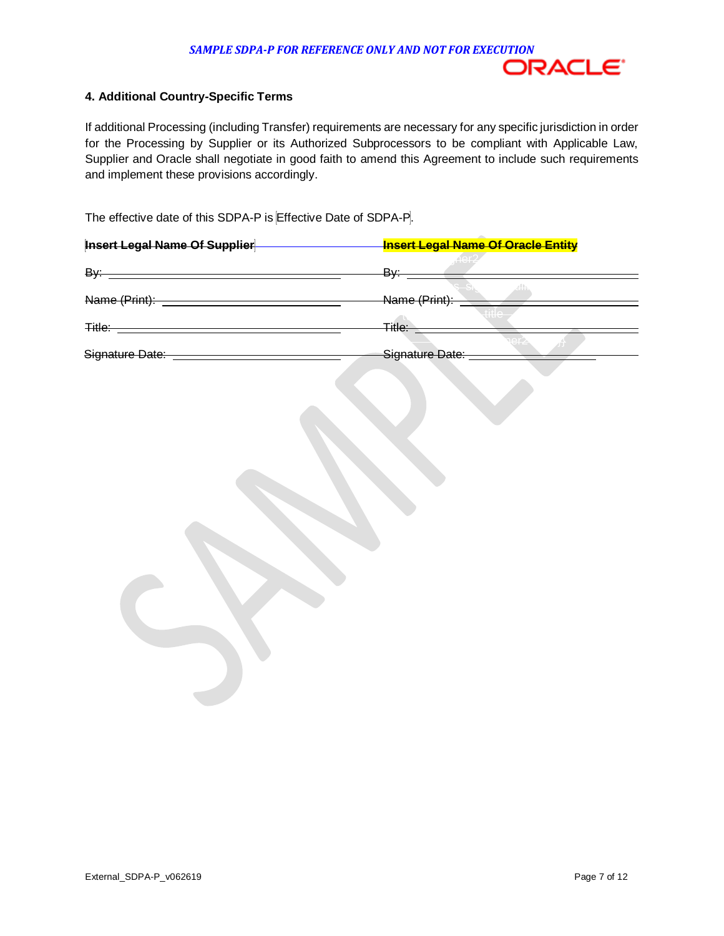

#### **4. Additional Country-Specific Terms**

If additional Processing (including Transfer) requirements are necessary for any specific jurisdiction in order for the Processing by Supplier or its Authorized Subprocessors to be compliant with Applicable Law, Supplier and Oracle shall negotiate in good faith to amend this Agreement to include such requirements and implement these provisions accordingly.

The effective date of this SDPA-P is Effective Date of SDPA-P.

| <b>Insert Legal Name Of Supplier</b> | <b>Insert Legal Name Of Oracle Entity</b>                 |
|--------------------------------------|-----------------------------------------------------------|
| By:                                  | , ner2<br>By:                                             |
| Name (Print):                        | $\varepsilon_{\rm min}^{\rm th}$<br>$-1$<br>Name (Print): |
| Title:                               | خنننا و<br><del>Title:</del>                              |
| Signature Date:                      | Signature Date:                                           |
|                                      |                                                           |
|                                      |                                                           |
|                                      |                                                           |
|                                      |                                                           |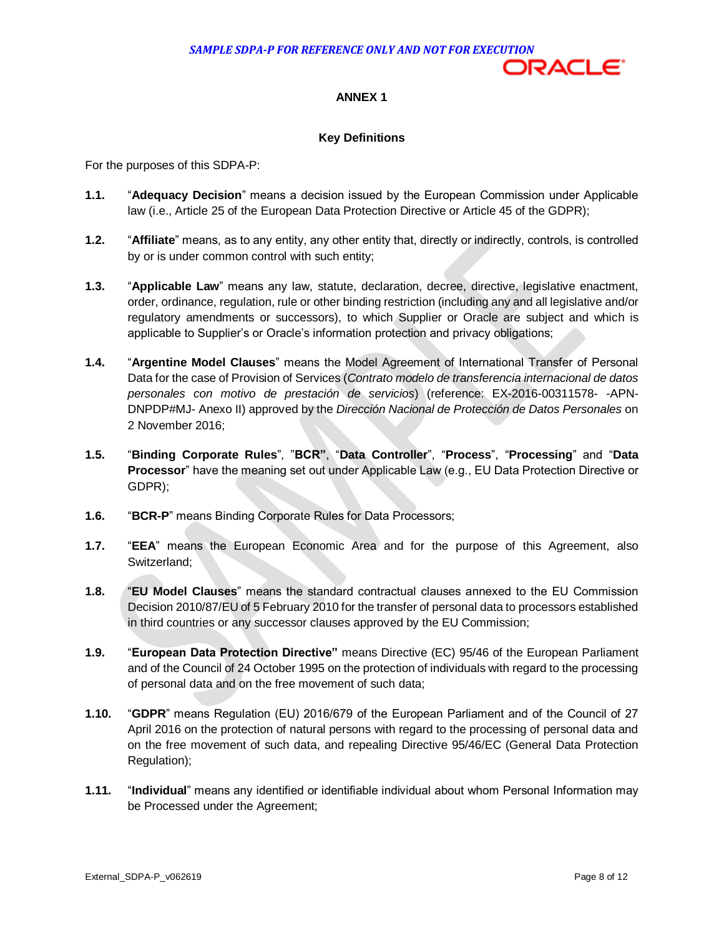

# **ANNEX 1**

## **Key Definitions**

For the purposes of this SDPA-P:

- **1.1.** "**Adequacy Decision**" means a decision issued by the European Commission under Applicable law (i.e., Article 25 of the European Data Protection Directive or Article 45 of the GDPR);
- "**Affiliate**" means, as to any entity, any other entity that, directly or indirectly, controls, is controlled by or is under common control with such entity; **1.2.**
- "**Applicable Law**" means any law, statute, declaration, decree, directive, legislative enactment, order, ordinance, regulation, rule or other binding restriction (including any and all legislative and/or regulatory amendments or successors), to which Supplier or Oracle are subject and which is applicable to Supplier's or Oracle's information protection and privacy obligations; **1.3.**
- "**Argentine Model Clauses**" means the Model Agreement of International Transfer of Personal Data for the case of Provision of Services (*Contrato modelo de transferencia internacional de datos personales con motivo de prestación de servicios*) (reference: EX-2016-00311578- -APN- DNPDP#MJ- Anexo II) approved by the *Dirección Nacional de Protección de Datos Personales* on 2 November 2016; **1.4.**
- "**Binding Corporate Rules**", "**BCR"**, "**Data Controller**", "**Process**", "**Processing**" and "**Data Processor**" have the meaning set out under Applicable Law (e.g., EU Data Protection Directive or **1.5.**  GDPR);
- "**BCR-P**" means Binding Corporate Rules for Data Processors; **1.6.**
- "**EEA**" means the European Economic Area and for the purpose of this Agreement, also **1.7.**  Switzerland;
- "**EU Model Clauses**" means the standard contractual clauses annexed to the EU Commission Decision 2010/87/EU of 5 February 2010 for the transfer of personal data to processors established in third countries or any successor clauses approved by the EU Commission; **1.8.**
- "**European Data Protection Directive"** means Directive (EC) 95/46 of the European Parliament and of the Council of 24 October 1995 on the protection of individuals with regard to the processing of personal data and on the free movement of such data; **1.9.**
- "**GDPR**" means Regulation (EU) 2016/679 of the European Parliament and of the Council of 27 April 2016 on the protection of natural persons with regard to the processing of personal data and on the free movement of such data, and repealing Directive 95/46/EC (General Data Protection **1.10.**  Regulation);
- **1.11.** "**Individual**" means any identified or identifiable individual about whom Personal Information may be Processed under the Agreement;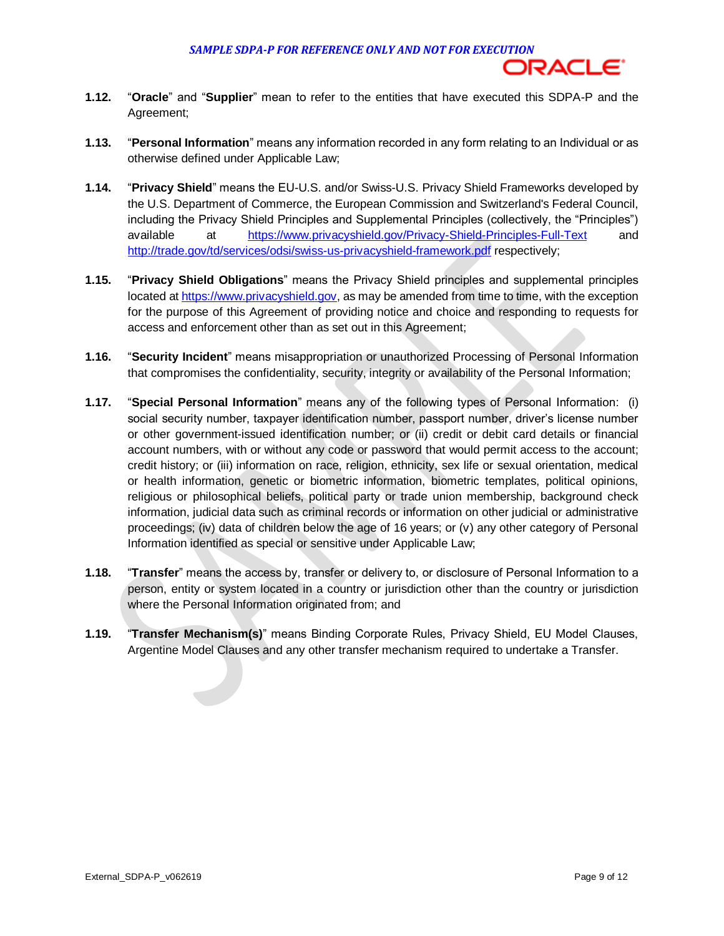

- **1.12.** "**Oracle**" and "**Supplier**" mean to refer to the entities that have executed this SDPA-P and the Agreement;
- **1.13.** "**Personal Information**" means any information recorded in any form relating to an Individual or as otherwise defined under Applicable Law;
- **1.14.** "**Privacy Shield**" means the EU-U.S. and/or Swiss-U.S. Privacy Shield Frameworks developed by the U.S. Department of Commerce, the European Commission and Switzerland's Federal Council, including the Privacy Shield Principles and Supplemental Principles (collectively, the "Principles") available at <https://www.privacyshield.gov/Privacy-Shield-Principles-Full-Text>and <http://trade.gov/td/services/odsi/swiss-us-privacyshield-framework.pdf>respectively;
- "**Privacy Shield Obligations**" means the Privacy Shield principles and supplemental principles located a[t https://www.privacyshield.gov,](https://www.privacyshield.gov/) as may be amended from time to time, with the exception for the purpose of this Agreement of providing notice and choice and responding to requests for access and enforcement other than as set out in this Agreement; **1.15.**
- "**Security Incident**" means misappropriation or unauthorized Processing of Personal Information that compromises the confidentiality, security, integrity or availability of the Personal Information; **1.16.**
- "**Special Personal Information**" means any of the following types of Personal Information: (i) social security number, taxpayer identification number, passport number, driver's license number or other government-issued identification number; or (ii) credit or debit card details or financial account numbers, with or without any code or password that would permit access to the account; credit history; or (iii) information on race, religion, ethnicity, sex life or sexual orientation, medical or health information, genetic or biometric information, biometric templates, political opinions, religious or philosophical beliefs, political party or trade union membership, background check information, judicial data such as criminal records or information on other judicial or administrative proceedings; (iv) data of children below the age of 16 years; or (v) any other category of Personal Information identified as special or sensitive under Applicable Law; **1.17.**
- "**Transfer**" means the access by, transfer or delivery to, or disclosure of Personal Information to a person, entity or system located in a country or jurisdiction other than the country or jurisdiction where the Personal Information originated from; and **1.18.**
- "**Transfer Mechanism(s)**" means Binding Corporate Rules, Privacy Shield, EU Model Clauses, Argentine Model Clauses and any other transfer mechanism required to undertake a Transfer. **1.19.**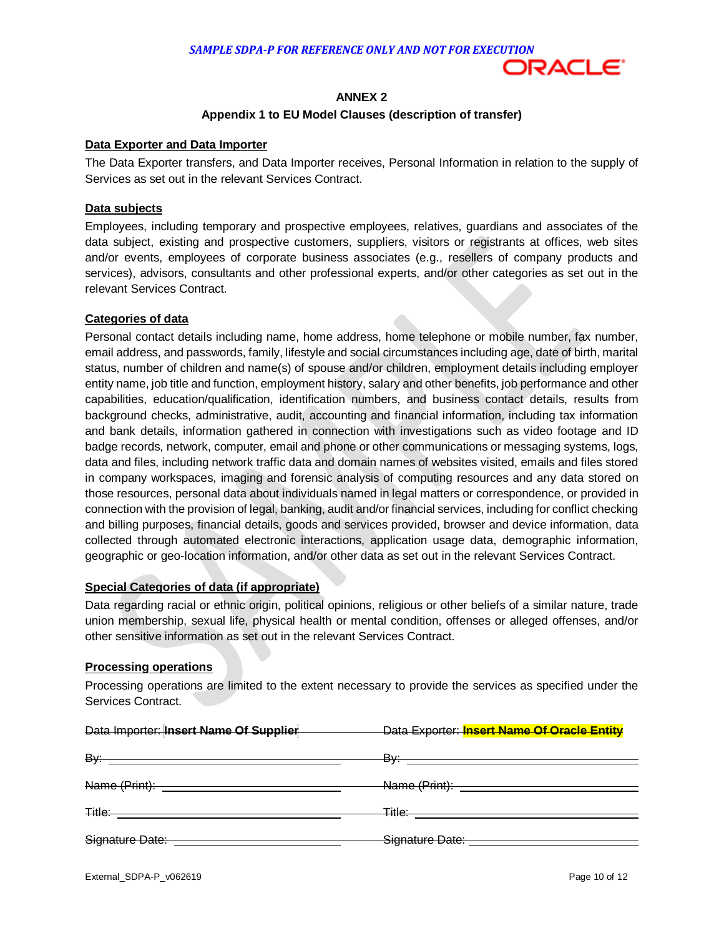

# **ANNEX 2**

#### **Appendix 1 to EU Model Clauses (description of transfer)**

#### **Data Exporter and Data Importer**

 The Data Exporter transfers, and Data Importer receives, Personal Information in relation to the supply of Services as set out in the relevant Services Contract.

#### **Data subjects**

 Employees, including temporary and prospective employees, relatives, guardians and associates of the data subject, existing and prospective customers, suppliers, visitors or registrants at offices, web sites and/or events, employees of corporate business associates (e.g., resellers of company products and services), advisors, consultants and other professional experts, and/or other categories as set out in the relevant Services Contract.

### **Categories of data**

 Personal contact details including name, home address, home telephone or mobile number, fax number, email address, and passwords, family, lifestyle and social circumstances including age, date of birth, marital status, number of children and name(s) of spouse and/or children, employment details including employer entity name, job title and function, employment history, salary and other benefits, job performance and other capabilities, education/qualification, identification numbers, and business contact details, results from background checks, administrative, audit, accounting and financial information, including tax information and bank details, information gathered in connection with investigations such as video footage and ID badge records, network, computer, email and phone or other communications or messaging systems, logs, data and files, including network traffic data and domain names of websites visited, emails and files stored in company workspaces, imaging and forensic analysis of computing resources and any data stored on those resources, personal data about individuals named in legal matters or correspondence, or provided in connection with the provision of legal, banking, audit and/or financial services, including for conflict checking and billing purposes, financial details, goods and services provided, browser and device information, data collected through automated electronic interactions, application usage data, demographic information, geographic or geo-location information, and/or other data as set out in the relevant Services Contract.

#### **Special Categories of data (if appropriate)**

 Data regarding racial or ethnic origin, political opinions, religious or other beliefs of a similar nature, trade union membership, sexual life, physical health or mental condition, offenses or alleged offenses, and/or other sensitive information as set out in the relevant Services Contract.

#### **Processing operations**

 Processing operations are limited to the extent necessary to provide the services as specified under the Services Contract.

| Data Importer: Insert Name Of Supplier<br><u>and the state of the state of the state</u> | Data Exporter: Insert Name Of Oracle Entity |  |
|------------------------------------------------------------------------------------------|---------------------------------------------|--|
|                                                                                          |                                             |  |
|                                                                                          |                                             |  |
|                                                                                          |                                             |  |
| Signature Date: __________________________________                                       |                                             |  |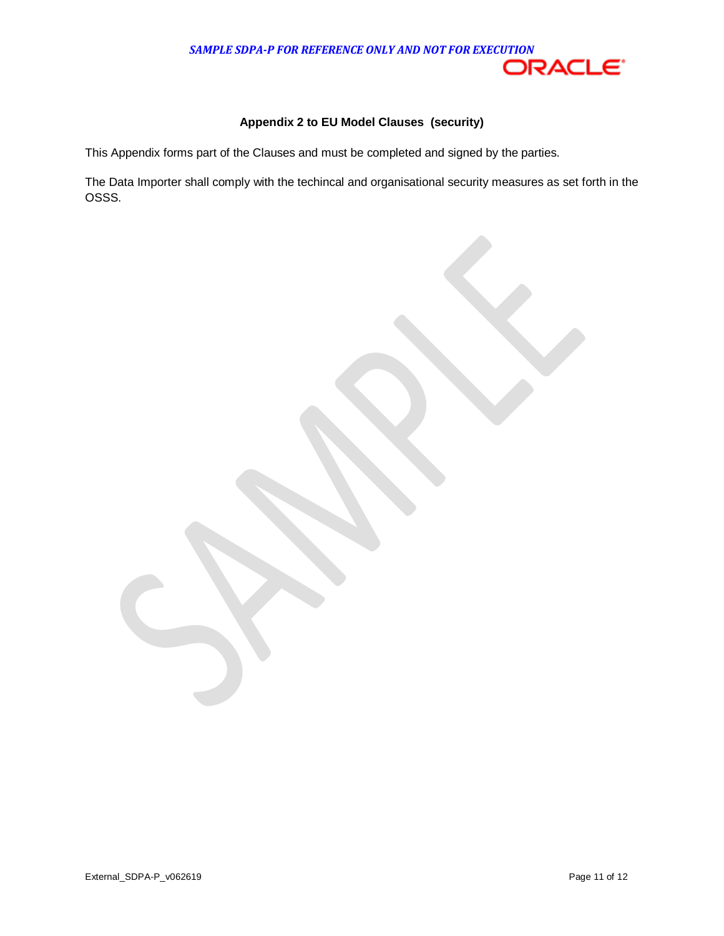### **Appendix 2 to EU Model Clauses (security)**

This Appendix forms part of the Clauses and must be completed and signed by the parties.

 The Data Importer shall comply with the techincal and organisational security measures as set forth in the OSSS.